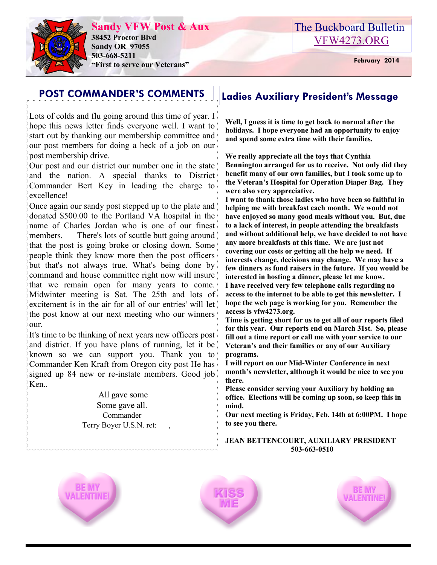

**Sandy VFW Post & Aux 38452 Proctor Blvd Sandy OR 97055 503-668-5211 "First to serve our Veterans" February 2014** 

# The Buckboard Bulletin [VFW4273.ORG](http://vfw4273.org/)

# **POST COMMANDER'S COMMENTS Ladies Auxiliary President's Message**

Lots of colds and flu going around this time of year. I hope this news letter finds everyone well. I want to start out by thanking our membership committee and our post members for doing a heck of a job on our post membership drive.

Our post and our district our number one in the state and the nation. A special thanks to District Commander Bert Key in leading the charge to excellence!

Once again our sandy post stepped up to the plate and donated \$500.00 to the Portland VA hospital in the name of Charles Jordan who is one of our finest members. There's lots of scuttle butt going around that the post is going broke or closing down. Some people think they know more then the post officers but that's not always true. What's being done by command and house committee right now will insure that we remain open for many years to come. Midwinter meeting is Sat. The 25th and lots of excitement is in the air for all of our entries' will let the post know at our next meeting who our winners our.

It's time to be thinking of next years new officers post and district. If you have plans of running, let it be known so we can support you. Thank you to Commander Ken Kraft from Oregon city post He has signed up 84 new or re-instate members. Good job Ken..

> All gave some Some gave all. Commander Terry Boyer U.S.N. ret: ,

**Well, I guess it is time to get back to normal after the holidays. I hope everyone had an opportunity to enjoy and spend some extra time with their families.**

**We really appreciate all the toys that Cynthia Bennington arranged for us to receive. Not only did they benefit many of our own families, but I took some up to the Veteran's Hospital for Operation Diaper Bag. They were also very appreciative.**

**I want to thank those ladies who have been so faithful in helping me with breakfast each month. We would not have enjoyed so many good meals without you. But, due to a lack of interest, in people attending the breakfasts and without additional help, we have decided to not have any more breakfasts at this time. We are just not covering our costs or getting all the help we need. If interests change, decisions may change. We may have a few dinners as fund raisers in the future. If you would be interested in hosting a dinner, please let me know. I have received very few telephone calls regarding no access to the internet to be able to get this newsletter. I hope the web page is working for you. Remember the access is vfw4273.org.**

**Time is getting short for us to get all of our reports filed for this year. Our reports end on March 31st. So, please fill out a time report or call me with your service to our Veteran's and their families or any of our Auxiliary programs.**

**I will report on our Mid-Winter Conference in next month's newsletter, although it would be nice to see you there.** 

**Please consider serving your Auxiliary by holding an office. Elections will be coming up soon, so keep this in mind.** 

**Our next meeting is Friday, Feb. 14th at 6:00PM. I hope to see you there.**

#### **JEAN BETTENCOURT, AUXILIARY PRESIDENT 503-663-0510**





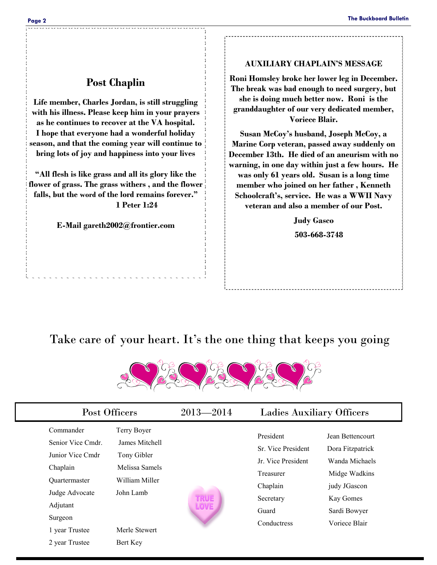## **Post Chaplin**

**Life member, Charles Jordan, is still struggling with his illness. Please keep him in your prayers as he continues to recover at the VA hospital. I hope that everyone had a wonderful holiday season, and that the coming year will continue to bring lots of joy and happiness into your lives**

**"All flesh is like grass and all its glory like the flower of grass. The grass withers , and the flower falls, but the word of the lord remains forever." 1 Peter 1:24** 

**E-Mail gareth2002@frontier.com**

#### **AUXILIARY CHAPLAIN'S MESSAGE**

**Roni Homsley broke her lower leg in December. The break was bad enough to need surgery, but she is doing much better now. Roni is the granddaughter of our very dedicated member, Voriece Blair.**

**Susan McCoy's husband, Joseph McCoy, a Marine Corp veteran, passed away suddenly on December 13th. He died of an aneurism with no warning, in one day within just a few hours. He was only 61 years old. Susan is a long time member who joined on her father , Kenneth Schoolcraft's, service. He was a WWII Navy veteran and also a member of our Post.**

> **Judy Gasco 503-668-3748**

# Take care of your heart. It's the one thing that keeps you going



|                                                                                                                                                                     | Post Officers                                                                                                              |                            | $2013 - 2014$<br><b>Ladies Auxiliary Officers</b>                                                                   |                                                                                                                                       |
|---------------------------------------------------------------------------------------------------------------------------------------------------------------------|----------------------------------------------------------------------------------------------------------------------------|----------------------------|---------------------------------------------------------------------------------------------------------------------|---------------------------------------------------------------------------------------------------------------------------------------|
| Commander<br>Senior Vice Cmdr.<br>Junior Vice Cmdr<br>Chaplain<br><b>Ouartermaster</b><br>Judge Advocate<br>Adjutant<br>Surgeon<br>1 year Trustee<br>2 year Trustee | Terry Boyer<br>James Mitchell<br>Tony Gibler<br>Melissa Samels<br>William Miller<br>John Lamb<br>Merle Stewert<br>Bert Key | <b>TRUE</b><br><b>LOVE</b> | President<br>Sr. Vice President<br>Jr. Vice President<br>Treasurer<br>Chaplain<br>Secretary<br>Guard<br>Conductress | Jean Bettencourt<br>Dora Fitzpatrick<br>Wanda Michaels<br>Midge Wadkins<br>judy JGascon<br>Kay Gomes<br>Sardi Bowyer<br>Voriece Blair |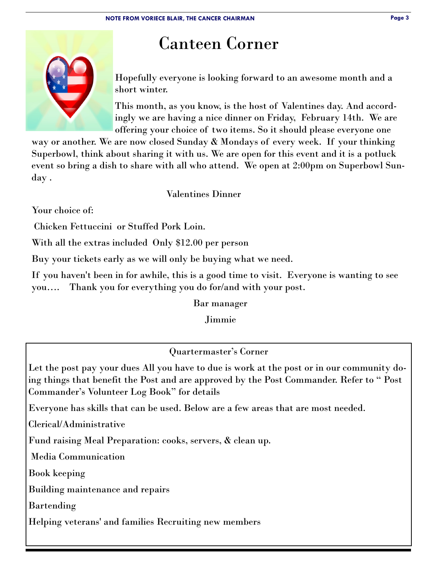# Canteen Corner

Hopefully everyone is looking forward to an awesome month and a short winter.

This month, as you know, is the host of Valentines day. And accordingly we are having a nice dinner on Friday, February 14th. We are offering your choice of two items. So it should please everyone one

way or another. We are now closed Sunday & Mondays of every week. If your thinking Superbowl, think about sharing it with us. We are open for this event and it is a potluck event so bring a dish to share with all who attend. We open at 2:00pm on Superbowl Sunday .

Valentines Dinner

Your choice of:

Chicken Fettuccini or Stuffed Pork Loin.

With all the extras included Only \$12.00 per person

Buy your tickets early as we will only be buying what we need.

If you haven't been in for awhile, this is a good time to visit. Everyone is wanting to see you…. Thank you for everything you do for/and with your post.

Bar manager

Jimmie

Quartermaster's Corner

Let the post pay your dues All you have to due is work at the post or in our community doing things that benefit the Post and are approved by the Post Commander. Refer to " Post Commander's Volunteer Log Book" for details

Everyone has skills that can be used. Below are a few areas that are most needed.

Clerical/Administrative

Fund raising Meal Preparation: cooks, servers, & clean up.

Media Communication

Book keeping

Building maintenance and repairs

Bartending

Helping veterans' and families Recruiting new members